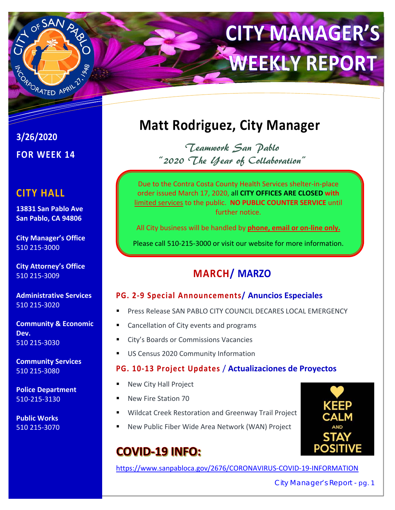

# **CITY MANAGER'S WEEKLY REPORT**

**3/26/2020 FOR WEEK 14** 

# **CITY HALL**

**13831 San Pablo Ave San Pablo, CA 94806** 

**City Manager's Office**  510 215‐3000

**City Attorney's Office**  510 215‐3009

**Administrative Services**  510 215‐3020

**Community & Economic Dev.**  510 215‐3030

**Community Services**  510 215‐3080

**Police Department**  510‐215‐3130

**Public Works**  510 215‐3070

# **Matt Rodriguez, City Manager**

Teamwork San Pablo "2020 The Year of Collaboration"

Due to the Contra Costa County Health Services shelter‐in‐place order issued March 17, 2020, all **CITY OFFICES ARE CLOSED with**  limited services to the public. **NO PUBLIC COUNTER SERVICE** until further notice.

All City business will be handled by **phone, email or on‐line only.**

Please call 510‐215‐3000 or visit our website for more information.

# **MARCH/ MARZO**

### **PG. 2‐9 Special Announcements/ Anuncios Especiales**

- Press Release SAN PABLO CITY COUNCIL DECARES LOCAL EMERGENCY
- Cancellation of City events and programs
- City's Boards or Commissions Vacancies
- **US Census 2020 Community Information**

### **PG. 10‐13 Project Updates** / **Actualizaciones de Proyectos**

- New City Hall Project
- New Fire Station 70
- Wildcat Creek Restoration and Greenway Trail Project
- New Public Fiber Wide Area Network (WAN) Project

# **COVID-19 INFO:**

https://www.sanpabloca.gov/2676/CORONAVIRUS‐COVID‐19‐INFORMATION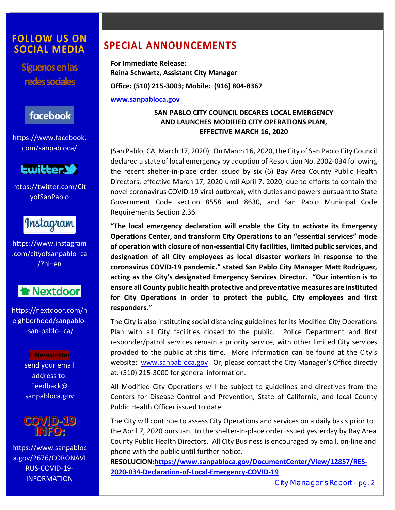### **FOLLOW US ON SOCIAL MEDIA**

**Síguenos en las redes sociales** 

# facebook

https://www.facebook. com/sanpabloca/



https://twitter.com/Cit yofSanPablo



https://www.instagram .com/cityofsanpablo\_ca /?hl=en



https://nextdoor.com/n eighborhood/sanpablo‐ ‐san‐pablo‐‐ca/

> **E‐Newsletter**  send your email address to: Feedback@ sanpabloca.gov



https://www.sanpabloc a.gov/2676/CORONAVI RUS‐COVID‐19‐ INFORMATION

# **SPECIAL ANNOUNCEMENTS**

**For Immediate Release: Reina Schwartz, Assistant City Manager Office: (510) 215‐3003; Mobile: (916) 804‐8367** 

**www.sanpabloca.gov**

#### **SAN PABLO CITY COUNCIL DECARES LOCAL EMERGENCY AND LAUNCHES MODIFIED CITY OPERATIONS PLAN, EFFECTIVE MARCH 16, 2020**

(San Pablo, CA, March 17, 2020) On March 16, 2020, the City of San Pablo City Council declared a state of local emergency by adoption of Resolution No. 2002‐034 following the recent shelter-in-place order issued by six (6) Bay Area County Public Health Directors, effective March 17, 2020 until April 7, 2020, due to efforts to contain the novel coronavirus COVID‐19 viral outbreak, with duties and powers pursuant to State Government Code section 8558 and 8630, and San Pablo Municipal Code Requirements Section 2.36.

**"The local emergency declaration will enable the City to activate its Emergency Operations Center, and transform City Operations to an "essential services" mode of operation with closure of non‐essential City facilities, limited public services, and designation of all City employees as local disaster workers in response to the coronavirus COVID‐19 pandemic." stated San Pablo City Manager Matt Rodriguez, acting as the City's designated Emergency Services Director. "Our intention is to ensure all County public health protective and preventative measures are instituted for City Operations in order to protect the public, City employees and first responders."** 

The City is also instituting social distancing guidelines for its Modified City Operations Plan with all City facilities closed to the public. Police Department and first responder/patrol services remain a priority service, with other limited City services provided to the public at this time. More information can be found at the City's website: www.sanpabloca.gov Or, please contact the City Manager's Office directly at: (510) 215‐3000 for general information.

All Modified City Operations will be subject to guidelines and directives from the Centers for Disease Control and Prevention, State of California, and local County Public Health Officer issued to date.

The City will continue to assess City Operations and services on a daily basis prior to the April 7, 2020 pursuant to the shelter‐in‐place order issued yesterday by Bay Area County Public Health Directors. All City Business is encouraged by email, on‐line and phone with the public until further notice.

**RESOLUCION:https://www.sanpabloca.gov/DocumentCenter/View/12857/RES‐ 2020‐034‐Declaration‐of‐Local‐Emergency‐COVID‐19**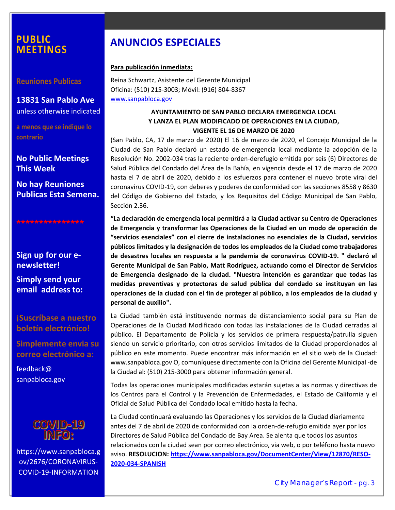### **PUBLIC MEETINGS**

**Reuniones Publicas** 

**13831 San Pablo Ave**  unless otherwise indicated

**a menos que se indique lo contrario** 

**No Public Meetings This Week** 

**No hay Reuniones Publicas Esta Semena.** 

**\*\*\*\*\*\*\*\*\*\*\*\*\*\*\*** 

**Sign up for our e‐ newsletter!** 

**Simply send your email address to:**

**¡Suscríbase a nuestro boletín electrónico!** 

**Simplemente envia su correo electrónico a:** 

feedback@ sanpabloca.gov



https://www.sanpabloca.g ov/2676/CORONAVIRUS‐ COVID‐19‐INFORMATION

# **ANUNCIOS ESPECIALES**

#### **Para publicación inmediata:**

Reina Schwartz, Asistente del Gerente Municipal Oficina: (510) 215‐3003; Móvil: (916) 804‐8367 www.sanpabloca.gov

#### **AYUNTAMIENTO DE SAN PABLO DECLARA EMERGENCIA LOCAL Y LANZA EL PLAN MODIFICADO DE OPERACIONES EN LA CIUDAD, VIGENTE EL 16 DE MARZO DE 2020**

(San Pablo, CA, 17 de marzo de 2020) El 16 de marzo de 2020, el Concejo Municipal de la Ciudad de San Pablo declaró un estado de emergencia local mediante la adopción de la Resolución No. 2002‐034 tras la reciente orden‐derefugio emitida por seis (6) Directores de Salud Pública del Condado del Área de la Bahía, en vigencia desde el 17 de marzo de 2020 hasta el 7 de abril de 2020, debido a los esfuerzos para contener el nuevo brote viral del coronavirus COVID‐19, con deberes y poderes de conformidad con las secciones 8558 y 8630 del Código de Gobierno del Estado, y los Requisitos del Código Municipal de San Pablo, Sección 2.36.

**"La declaración de emergencia local permitirá a la Ciudad activar su Centro de Operaciones de Emergencia y transformar las Operaciones de la Ciudad en un modo de operación de "servicios esenciales" con el cierre de instalaciones no esenciales de la Ciudad, servicios públicos limitados y la designación de todos los empleados de la Ciudad como trabajadores de desastres locales en respuesta a la pandemia de coronavirus COVID‐19. " declaró el Gerente Municipal de San Pablo, Matt Rodríguez, actuando como el Director de Servicios de Emergencia designado de la ciudad. "Nuestra intención es garantizar que todas las medidas preventivas y protectoras de salud pública del condado se instituyan en las operaciones de la ciudad con el fin de proteger al público, a los empleados de la ciudad y personal de auxilio".** 

La Ciudad también está instituyendo normas de distanciamiento social para su Plan de Operaciones de la Ciudad Modificado con todas las instalaciones de la Ciudad cerradas al público. El Departamento de Policía y los servicios de primera respuesta/patrulla siguen siendo un servicio prioritario, con otros servicios limitados de la Ciudad proporcionados al público en este momento. Puede encontrar más información en el sitio web de la Ciudad: www.sanpabloca.gov O, comuníquese directamente con la Oficina del Gerente Municipal ‐de la Ciudad al: (510) 215‐3000 para obtener información general.

Todas las operaciones municipales modificadas estarán sujetas a las normas y directivas de los Centros para el Control y la Prevención de Enfermedades, el Estado de California y el Oficial de Salud Pública del Condado local emitido hasta la fecha.

La Ciudad continuará evaluando las Operaciones y los servicios de la Ciudad diariamente antes del 7 de abril de 2020 de conformidad con la orden‐de‐refugio emitida ayer por los Directores de Salud Pública del Condado de Bay Area. Se alenta que todos los asuntos relacionados con la ciudad sean por correo electrónico, via web, o por teléfono hasta nuevo aviso. **RESOLUCION: https://www.sanpabloca.gov/DocumentCenter/View/12870/RESO‐ 2020‐034‐SPANISH**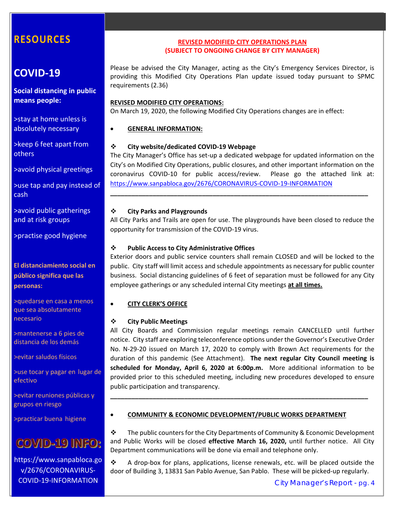# **COVID‐19**

**Social distancing in public means people:** 

>stay at home unless is absolutely necessary

>keep 6 feet apart from **others** 

>avoid physical greetings

>use tap and pay instead of cash

>avoid public gatherings and at risk groups

>practise good hygiene

**El distanciamiento social en público significa que las personas:** 

>quedarse en casa a menos que sea absolutamente necesario

>mantenerse a 6 pies de distancia de los demás

>evitar saludos físicos

>use tocar y pagar en lugar de efectivo

>evitar reuniones públicas y grupos en riesgo

>practicar buena higiene

# **COVID-19 INFO:**

https://www.sanpabloca.go v/2676/CORONAVIRUS‐ COVID‐19‐INFORMATION

#### **REVISED MODIFIED CITY OPERATIONS PLAN (SUBJECT TO ONGOING CHANGE BY CITY MANAGER)**

Please be advised the City Manager, acting as the City's Emergency Services Director, is providing this Modified City Operations Plan update issued today pursuant to SPMC requirements (2.36)

#### **REVISED MODIFIED CITY OPERATIONS:**

On March 19, 2020, the following Modified City Operations changes are in effect:

#### **GENERAL INFORMATION:**

#### **City website/dedicated COVID‐19 Webpage**

The City Manager's Office has set‐up a dedicated webpage for updated information on the City's on Modified City Operations, public closures, and other important information on the coronavirus COVID‐10 for public access/review. Please go the attached link at: https://www.sanpabloca.gov/2676/CORONAVIRUS‐COVID‐19‐INFORMATION

**\_\_\_\_\_\_\_\_\_\_\_\_\_\_\_\_\_\_\_\_\_\_\_\_\_\_\_\_\_\_\_\_\_\_\_\_\_\_\_\_\_\_\_\_\_\_\_\_\_\_\_\_\_\_\_\_\_\_\_\_\_\_\_\_\_\_\_\_\_\_\_\_\_** 

#### **City Parks and Playgrounds**

All City Parks and Trails are open for use. The playgrounds have been closed to reduce the opportunity for transmission of the COVID‐19 virus.

#### **Public Access to City Administrative Offices**

Exterior doors and public service counters shall remain CLOSED and will be locked to the public. City staff will limit access and schedule appointments as necessary for public counter business. Social distancing guidelines of 6 feet of separation must be followed for any City employee gatherings or any scheduled internal City meetings **at all times.** 

#### **CITY CLERK'S OFFICE**

#### **City Public Meetings**

All City Boards and Commission regular meetings remain CANCELLED until further notice. City staff are exploring teleconference options under the Governor's Executive Order No. N-29-20 issued on March 17, 2020 to comply with Brown Act requirements for the duration of this pandemic (See Attachment).  **The next regular City Council meeting is scheduled for Monday, April 6, 2020 at 6:00p.m.** More additional information to be provided prior to this scheduled meeting, including new procedures developed to ensure public participation and transparency.

**\_\_\_\_\_\_\_\_\_\_\_\_\_\_\_\_\_\_\_\_\_\_\_\_\_\_\_\_\_\_\_\_\_\_\_\_\_\_\_\_\_\_\_\_\_\_\_\_\_\_\_\_\_\_\_\_\_\_\_\_\_\_\_\_\_\_\_\_\_\_\_\_\_** 

#### **COMMUNITY & ECONOMIC DEVELOPMENT/PUBLIC WORKS DEPARTMENT**

 $\div$  The public counters for the City Departments of Community & Economic Development and Public Works will be closed **effective March 16, 2020**, until further notice. All City Department communications will be done via email and telephone only.

 A drop‐box for plans, applications, license renewals, etc. will be placed outside the door of Building 3, 13831 San Pablo Avenue, San Pablo. These will be picked-up regularly.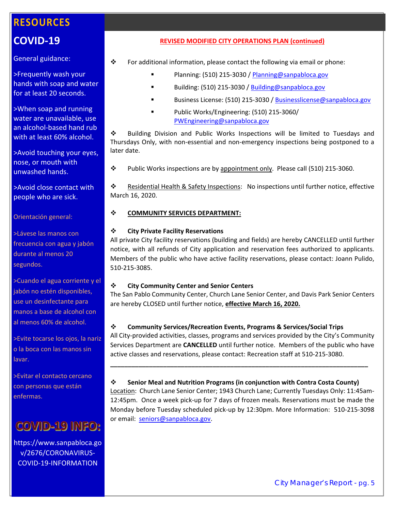# **COVID‐19**

#### General guidance:

>Frequently wash your hands with soap and water for at least 20 seconds.

>When soap and running water are unavailable, use an alcohol‐based hand rub with at least 60% alcohol.

>Avoid touching your eyes, nose, or mouth with unwashed hands.

>Avoid close contact with people who are sick.

Orientación general:

>Lávese las manos con frecuencia con agua y jabón durante al menos 20 segundos.

>Cuando el agua corriente y el jabón no estén disponibles, use un desinfectante para manos a base de alcohol con al menos 60% de alcohol.

>Evite tocarse los ojos, la nariz o la boca con las manos sin lavar.

>Evitar el contacto cercano con personas que están enfermas.

# **COVID-19 INFO:**

https://www.sanpabloca.go v/2676/CORONAVIRUS‐ COVID‐19‐INFORMATION

#### **REVISED MODIFIED CITY OPERATIONS PLAN (continued)**

- For additional information, please contact the following via email or phone:
	- Planning: (510) 215‐3030 / Planning@sanpabloca.gov
	- Building: (510) 215‐3030 / Building@sanpabloca.gov
	- Business License: (510) 215‐3030 / Businesslicense@sanpabloca.gov
	- Public Works/Engineering: (510) 215‐3060/ PWEngineering@sanpabloca.gov

 Building Division and Public Works Inspections will be limited to Tuesdays and Thursdays Only, with non‐essential and non‐emergency inspections being postponed to a later date.

Public Works inspections are by appointment only. Please call (510) 215‐3060.

 Residential Health & Safety Inspections: No inspections until further notice, effective March 16, 2020.

#### **COMMUNITY SERVICES DEPARTMENT:**

#### **City Private Facility Reservations**

All private City facility reservations (building and fields) are hereby CANCELLED until further notice, with all refunds of City application and reservation fees authorized to applicants. Members of the public who have active facility reservations, please contact: Joann Pulido, 510‐215‐3085.

#### **City Community Center and Senior Centers**

The San Pablo Community Center, Church Lane Senior Center, and Davis Park Senior Centers are hereby CLOSED until further notice, **effective March 16, 2020.** 

#### **Community Services/Recreation Events, Programs & Services/Social Trips**

All City‐provided activities, classes, programs and services provided by the City's Community Services Department are **CANCELLED** until further notice. Members of the public who have active classes and reservations, please contact: Recreation staff at 510‐215‐3080.

#### **Senior Meal and Nutrition Programs (in conjunction with Contra Costa County)**

**\_\_\_\_\_\_\_\_\_\_\_\_\_\_\_\_\_\_\_\_\_\_\_\_\_\_\_\_\_\_\_\_\_\_\_\_\_\_\_\_\_\_\_\_\_\_\_\_\_\_\_\_\_\_\_\_\_\_\_\_\_\_\_\_\_\_\_\_\_\_\_\_\_** 

Location: Church Lane Senior Center; 1943 Church Lane; Currently Tuesdays Only: 11:45am‐ 12:45pm. Once a week pick‐up for 7 days of frozen meals. Reservations must be made the Monday before Tuesday scheduled pick‐up by 12:30pm. More Information: 510‐215‐3098 or email: seniors@sanpabloca.gov.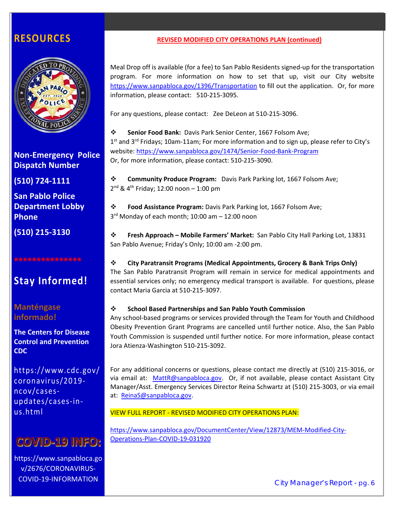

**Non‐Emergency Police Dispatch Number** 

**(510) 724‐1111** 

**San Pablo Police Department Lobby Phone** 

**(510) 215‐3130** 

#### **\*\*\*\*\*\*\*\*\*\*\*\*\*\*\***

# **Stay Informed!**

**Manténgase informado!** 

**The Centers for Disease Control and Prevention CDC** 

https://www.cdc.gov/ coronavirus/2019‐ ncov/cases‐ updates/cases‐in‐ us.html

# **COVID-19 INFO:**

https://www.sanpabloca.go v/2676/CORONAVIRUS‐ COVID‐19‐INFORMATION

#### **REVISED MODIFIED CITY OPERATIONS PLAN (continued)**

Meal Drop off is available (for a fee) to San Pablo Residents signed‐up for the transportation program. For more information on how to set that up, visit our City website https://www.sanpabloca.gov/1396/Transportation to fill out the application. Or, for more information, please contact: 510‐215‐3095.

For any questions, please contact: Zee DeLeon at 510‐215‐3096.

**Senior Food Bank:** Davis Park Senior Center, 1667 Folsom Ave;  $1<sup>st</sup>$  and  $3<sup>rd</sup>$  Fridays; 10am-11am; For more information and to sign up, please refer to City's website: https://www.sanpabloca.gov/1474/Senior‐Food‐Bank‐Program Or, for more information, please contact: 510‐215‐3090.

**Exammunity Produce Program:** Davis Park Parking lot, 1667 Folsom Ave;  $2^{nd}$  & 4<sup>th</sup> Friday; 12:00 noon - 1:00 pm

 **Food Assistance Program:** Davis Park Parking lot, 1667 Folsom Ave; 3<sup>rd</sup> Monday of each month; 10:00 am - 12:00 noon

 **Fresh Approach – Mobile Farmers' Market:**  San Pablo City Hall Parking Lot, 13831 San Pablo Avenue; Friday's Only; 10:00 am ‐2:00 pm.

#### **City Paratransit Programs (Medical Appointments, Grocery & Bank Trips Only)**  The San Pablo Paratransit Program will remain in service for medical appointments and essential services only; no emergency medical transport is available. For questions, please contact Maria Garcia at 510‐215‐3097.

#### **School Based Partnerships and San Pablo Youth Commission**

Any school‐based programs or services provided through the Team for Youth and Childhood Obesity Prevention Grant Programs are cancelled until further notice. Also, the San Pablo Youth Commission is suspended until further notice. For more information, please contact Jora Atienza‐Washington 510‐215‐3092.

For any additional concerns or questions, please contact me directly at (510) 215‐3016, or via email at: MattR@sanpabloca.gov. Or, if not available, please contact Assistant City Manager/Asst. Emergency Services Director Reina Schwartz at (510) 215‐3003, or via email at: ReinaS@sanpabloca.gov.

VIEW FULL REPORT ‐ REVISED MODIFIED CITY OPERATIONS PLAN:

https://www.sanpabloca.gov/DocumentCenter/View/12873/MEM‐Modified‐City‐ Operations‐Plan‐COVID‐19‐031920

City Manager's Report - pg. 6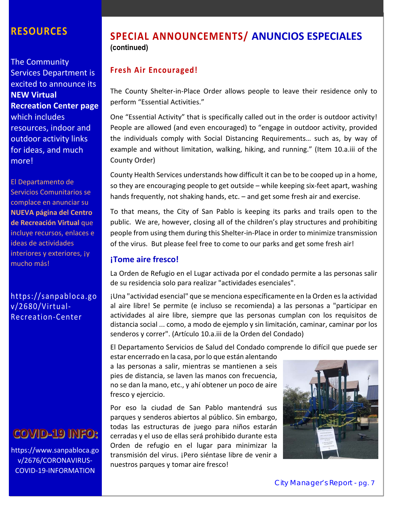The Community Services Department is excited to announce its **NEW Virtual Recreation Center page** which includes resources, indoor and outdoor activity links for ideas, and much more!

El Departamento de Servicios Comunitarios se complace en anunciar su **NUEVA página del Centro de Recreación Virtual** que incluye recursos, enlaces e ideas de actividades interiores y exteriores, jy mucho más!

### https://sanpabloca.go v/2680/Virtual‐ Recreation‐Center

# **COVID-19 INFO:**

https://www.sanpabloca.go v/2676/CORONAVIRUS‐ COVID‐19‐INFORMATION

# **SPECIAL ANNOUNCEMENTS/ ANUNCIOS ESPECIALES (continued)**

### **Fresh Air Encouraged!**

The County Shelter-in-Place Order allows people to leave their residence only to perform "Essential Activities."

One "Essential Activity" that is specifically called out in the order is outdoor activity! People are allowed (and even encouraged) to "engage in outdoor activity, provided the individuals comply with Social Distancing Requirements… such as, by way of example and without limitation, walking, hiking, and running." (Item 10.a.iii of the County Order)

County Health Services understands how difficult it can be to be cooped up in a home, so they are encouraging people to get outside – while keeping six‐feet apart, washing hands frequently, not shaking hands, etc. - and get some fresh air and exercise.

To that means, the City of San Pablo is keeping its parks and trails open to the public. We are, however, closing all of the children's play structures and prohibiting people from using them during this Shelter‐in‐Place in order to minimize transmission of the virus. But please feel free to come to our parks and get some fresh air!

#### **¡Tome aire fresco!**

La Orden de Refugio en el Lugar activada por el condado permite a las personas salir de su residencia solo para realizar "actividades esenciales".

¡Una "actividad esencial" que se menciona específicamente en la Orden es la actividad al aire libre! Se permite (e incluso se recomienda) a las personas a "participar en actividades al aire libre, siempre que las personas cumplan con los requisitos de distancia social ... como, a modo de ejemplo y sin limitación, caminar, caminar por los senderos y correr". (Artículo 10.a.iii de la Orden del Condado)

El Departamento Servicios de Salud del Condado comprende lo difícil que puede ser

estar encerrado en la casa, por lo que están alentando a las personas a salir, mientras se mantienen a seis pies de distancia, se laven las manos con frecuencia, no se dan la mano, etc., y ahí obtener un poco de aire fresco y ejercicio.

Por eso la ciudad de San Pablo mantendrá sus parques y senderos abiertos al público. Sin embargo, todas las estructuras de juego para niños estarán cerradas y el uso de ellas será prohibido durante esta Orden de refugio en el lugar para minimizar la transmisión del virus. ¡Pero siéntase libre de venir a nuestros parques y tomar aire fresco!

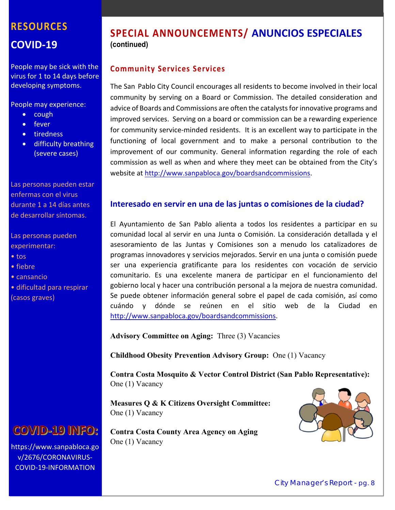# **RESOURCES COVID‐19**

People may be sick with the virus for 1 to 14 days before developing symptoms.

People may experience:

- $\bullet$  cough
- fever
- tiredness
- difficulty breathing (severe cases)

Las personas pueden estar enfermas con el virus durante 1 a 14 días antes de desarrollar síntomas.

Las personas pueden experimentar:

- tos
- fiebre
- cansancio
- dificultad para respirar (casos graves)

# **COVID-19 INFO:**

https://www.sanpabloca.go v/2676/CORONAVIRUS‐ COVID‐19‐INFORMATION

# **SPECIAL ANNOUNCEMENTS/ ANUNCIOS ESPECIALES (continued)**

### **Community Services Services**

The San Pablo City Council encourages all residents to become involved in their local community by serving on a Board or Commission. The detailed consideration and advice of Boards and Commissions are often the catalysts for innovative programs and improved services. Serving on a board or commission can be a rewarding experience for community service‐minded residents. It is an excellent way to participate in the functioning of local government and to make a personal contribution to the improvement of our community. General information regarding the role of each commission as well as when and where they meet can be obtained from the City's website at http://www.sanpabloca.gov/boardsandcommissions.

#### **Interesado en servir en una de las juntas o comisiones de la ciudad?**

El Ayuntamiento de San Pablo alienta a todos los residentes a participar en su comunidad local al servir en una Junta o Comisión. La consideración detallada y el asesoramiento de las Juntas y Comisiones son a menudo los catalizadores de programas innovadores y servicios mejorados. Servir en una junta o comisión puede ser una experiencia gratificante para los residentes con vocación de servicio comunitario. Es una excelente manera de participar en el funcionamiento del gobierno local y hacer una contribución personal a la mejora de nuestra comunidad. Se puede obtener información general sobre el papel de cada comisión, así como cuándo y dónde se reúnen en el sitio web de la Ciudad en http://www.sanpabloca.gov/boardsandcommissions.

**Advisory Committee on Aging:** Three (3) Vacancies

**Childhood Obesity Prevention Advisory Group:** One (1) Vacancy

**Contra Costa Mosquito & Vector Control District (San Pablo Representative):**  One (1) Vacancy

**Measures Q & K Citizens Oversight Committee:**  One (1) Vacancy

**Contra Costa County Area Agency on Aging**  One (1) Vacancy

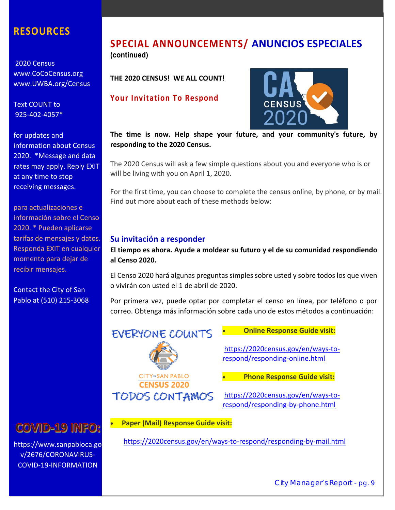2020 Census www.CoCoCensus.org www.UWBA.org/Census

Text COUNT to 925‐402‐4057\*

for updates and information about Census 2020. \*Message and data rates may apply. Reply EXIT at any time to stop receiving messages.

para actualizaciones e información sobre el Censo 2020. \* Pueden aplicarse tarifas de mensajes y datos. Responda EXIT en cualquier momento para dejar de recibir mensajes.

Contact the City of San Pablo at (510) 215‐3068

# **COVID-19 INFO:**

COVID-19-INFORMATION https://www.sanpabloca.go v/2676/CORONAVIRUS‐

### **SPECIAL ANNOUNCEMENTS/ ANUNCIOS ESPECIALES (continued)**

**THE 2020 CENSUS! WE ALL COUNT!** 

**Your Invitation To Respond** 



**The time is now. Help shape your future, and your community's future, by responding to the 2020 Census.** 

The 2020 Census will ask a few simple questions about you and everyone who is or will be living with you on April 1, 2020.

For the first time, you can choose to complete the census online, by phone, or by mail. Find out more about each of these methods below:

#### **Su invitación a responder**

**EVERYONE COUNTS** 

**CITY<sup>or</sup>SAN PABLO CENSUS 2020 TODOS CONTAMOS** 

**El tiempo es ahora. Ayude a moldear su futuro y el de su comunidad respondiendo al Censo 2020.** 

El Censo 2020 hará algunas preguntas simples sobre usted y sobre todos los que viven o vivirán con usted el 1 de abril de 2020.

Por primera vez, puede optar por completar el censo en línea, por teléfono o por correo. Obtenga más información sobre cada uno de estos métodos a continuación:

> https://2020census.gov/en/ways-torespond/responding‐online.html

**Online Response Guide visit:** 

**Phone Response Guide visit:** 

https://2020census.gov/en/ways‐to‐ respond/responding‐by‐phone.html

**Paper (Mail) Response Guide visit:** 

https://2020census.gov/en/ways‐to‐respond/responding‐by‐mail.html

City Manager's Report - pg. 9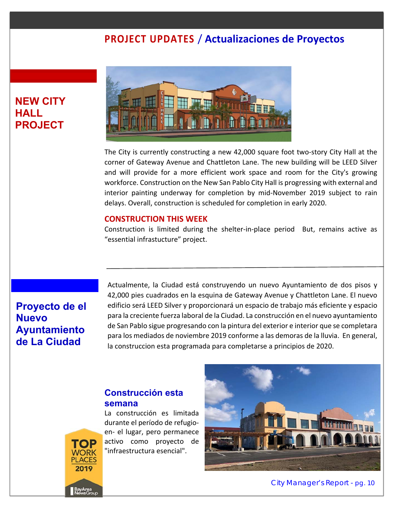# **PROJECT UPDATES** / **Actualizaciones de Proyectos**

## **NEW CITY HALL PROJECT**



The City is currently constructing a new 42,000 square foot two‐story City Hall at the corner of Gateway Avenue and Chattleton Lane. The new building will be LEED Silver and will provide for a more efficient work space and room for the City's growing workforce. Construction on the New San Pablo City Hall is progressing with external and interior painting underway for completion by mid‐November 2019 subject to rain delays. Overall, construction is scheduled for completion in early 2020.

#### **CONSTRUCTION THIS WEEK**

Construction is limited during the shelter-in-place period But, remains active as "essential infrastucture" project.

# **Proyecto de el Nuevo Ayuntamiento de La Ciudad**

**ACES** 2019

Actualmente, la Ciudad está construyendo un nuevo Ayuntamiento de dos pisos y 42,000 pies cuadrados en la esquina de Gateway Avenue y Chattleton Lane. El nuevo edificio será LEED Silver y proporcionará un espacio de trabajo más eficiente y espacio para la creciente fuerza laboral de la Ciudad. La construcción en el nuevo ayuntamiento de San Pablo sigue progresando con la pintura del exterior e interior que se completara para los mediados de noviembre 2019 conforme a las demoras de la lluvia. En general, la construccion esta programada para completarse a principios de 2020.

#### **Construcción esta semana**

La construcción es limitada durante el período de refugio‐ en‐ el lugar, pero permanece activo como proyecto de "infraestructura esencial".

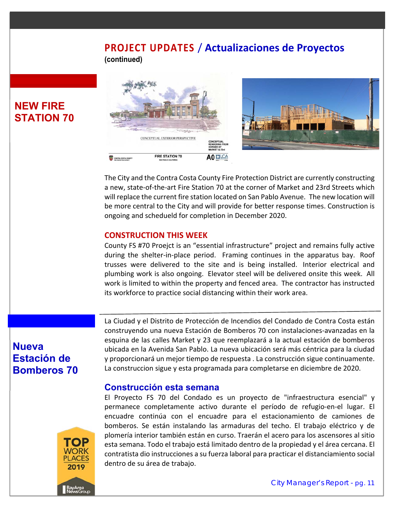### **PROJECT UPDATES** / **Actualizaciones de Proyectos (continued)**



The City and the Contra Costa County Fire Protection District are currently constructing a new, state‐of‐the‐art Fire Station 70 at the corner of Market and 23rd Streets which will replace the current fire station located on San Pablo Avenue. The new location will be more central to the City and will provide for better response times. Construction is ongoing and schedueld for completion in December 2020.

#### **CONSTRUCTION THIS WEEK**

County FS #70 Proejct is an "essential infrastructure" project and remains fully active during the shelter-in-place period. Framing continues in the apparatus bay. Roof trusses were delivered to the site and is being installed. Interior electrical and plumbing work is also ongoing. Elevator steel will be delivered onsite this week. All work is limited to within the property and fenced area. The contractor has instructed its workforce to practice social distancing within their work area.

# **Nueva Estación de Bomberos 70**

**NEW FIRE STATION 70** 

> La Ciudad y el Distrito de Protección de Incendios del Condado de Contra Costa están construyendo una nueva Estación de Bomberos 70 con instalaciones‐avanzadas en la esquina de las calles Market y 23 que reemplazará a la actual estación de bomberos ubicada en la Avenida San Pablo. La nueva ubicación será más céntrica para la ciudad y proporcionará un mejor tiempo de respuesta . La construcción sigue continuamente. La construccion sigue y esta programada para completarse en diciembre de 2020.

#### **Construcción esta semana**

El Proyecto FS 70 del Condado es un proyecto de "infraestructura esencial" y permanece completamente activo durante el período de refugio‐en‐el lugar. El encuadre continúa con el encuadre para el estacionamiento de camiones de bomberos. Se están instalando las armaduras del techo. El trabajo eléctrico y de plomería interior también están en curso. Traerán el acero para los ascensores al sitio esta semana. Todo el trabajo está limitado dentro de la propiedad y el área cercana. El contratista dio instrucciones a su fuerza laboral para practicar el distanciamiento social dentro de su área de trabajo.

2019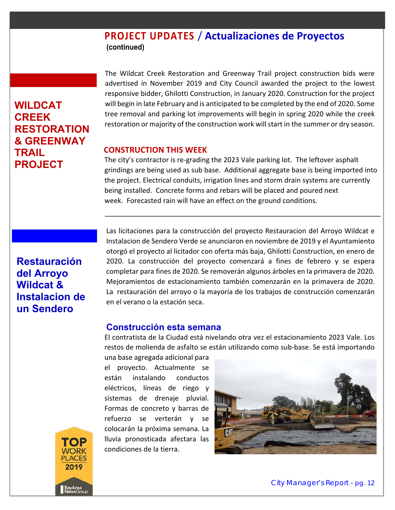### **PROJECT UPDATES** / **Actualizaciones de Proyectos (continued)**

# **WILDCAT CREEK RESTORATION & GREENWAY TRAIL PROJECT**

The Wildcat Creek Restoration and Greenway Trail project construction bids were advertised in November 2019 and City Council awarded the project to the lowest responsive bidder, Ghilotti Construction, in January 2020. Construction for the project will begin in late February and is anticipated to be completed by the end of 2020. Some tree removal and parking lot improvements will begin in spring 2020 while the creek restoration or majority of the construction work will start in the summer or dry season.

#### **CONSTRUCTION THIS WEEK**

The city's contractor is re-grading the 2023 Vale parking lot. The leftover asphalt grindings are being used as sub base. Additional aggregate base is being imported into the project. Electrical conduits, irrigation lines and storm drain systems are currently being installed. Concrete forms and rebars will be placed and poured next week. Forecasted rain will have an effect on the ground conditions.

## **Restauración del Arroyo Wildcat & Instalacion de un Sendero**

Las licitaciones para la construcción del proyecto Restauracion del Arroyo Wildcat e Instalacion de Sendero Verde se anunciaron en noviembre de 2019 y el Ayuntamiento otorgó el proyecto al licitador con oferta más baja, Ghilotti Construction, en enero de 2020. La construcción del proyecto comenzará a fines de febrero y se espera completar para fines de 2020. Se removerán algunos árboles en la primavera de 2020. Mejoramientos de estacionamiento también comenzarán en la primavera de 2020. La restauración del arroyo o la mayoría de los trabajos de construcción comenzarán en el verano o la estación seca.

#### **Construcción esta semana**

El contratista de la Ciudad está nivelando otra vez el estacionamiento 2023 Vale. Los restos de molienda de asfalto se están utilizando como sub‐base. Se está importando

una base agregada adicional para el proyecto. Actualmente se están instalando conductos eléctricos, líneas de riego y sistemas de drenaje pluvial. Formas de concreto y barras de refuerzo se verterán y se colocarán la próxima semana. La lluvia pronosticada afectara las condiciones de la tierra.